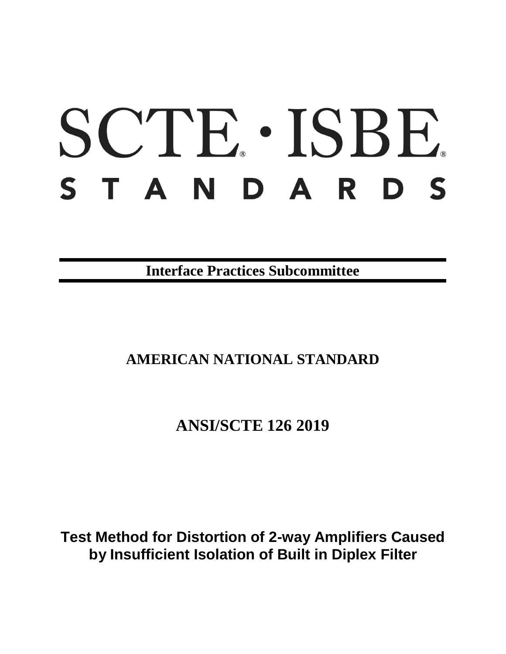# SCTE · ISBE. STANDARDS

**Interface Practices Subcommittee**

## **AMERICAN NATIONAL STANDARD**

**ANSI/SCTE 126 2019**

**Test Method for Distortion of 2-way Amplifiers Caused by Insufficient Isolation of Built in Diplex Filter**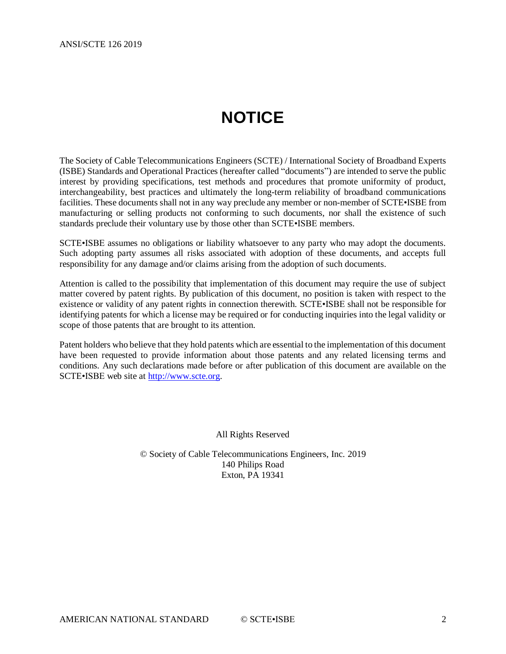# **NOTICE**

<span id="page-1-0"></span>The Society of Cable Telecommunications Engineers (SCTE) / International Society of Broadband Experts (ISBE) Standards and Operational Practices (hereafter called "documents") are intended to serve the public interest by providing specifications, test methods and procedures that promote uniformity of product, interchangeability, best practices and ultimately the long-term reliability of broadband communications facilities. These documents shall not in any way preclude any member or non-member of SCTE•ISBE from manufacturing or selling products not conforming to such documents, nor shall the existence of such standards preclude their voluntary use by those other than SCTE•ISBE members.

SCTE•ISBE assumes no obligations or liability whatsoever to any party who may adopt the documents. Such adopting party assumes all risks associated with adoption of these documents, and accepts full responsibility for any damage and/or claims arising from the adoption of such documents.

Attention is called to the possibility that implementation of this document may require the use of subject matter covered by patent rights. By publication of this document, no position is taken with respect to the existence or validity of any patent rights in connection therewith. SCTE•ISBE shall not be responsible for identifying patents for which a license may be required or for conducting inquiries into the legal validity or scope of those patents that are brought to its attention.

Patent holders who believe that they hold patents which are essential to the implementation of this document have been requested to provide information about those patents and any related licensing terms and conditions. Any such declarations made before or after publication of this document are available on the SCTE•ISBE web site at [http://www.scte.org.](http://www.scte.org/)

All Rights Reserved

© Society of Cable Telecommunications Engineers, Inc. 2019 140 Philips Road Exton, PA 19341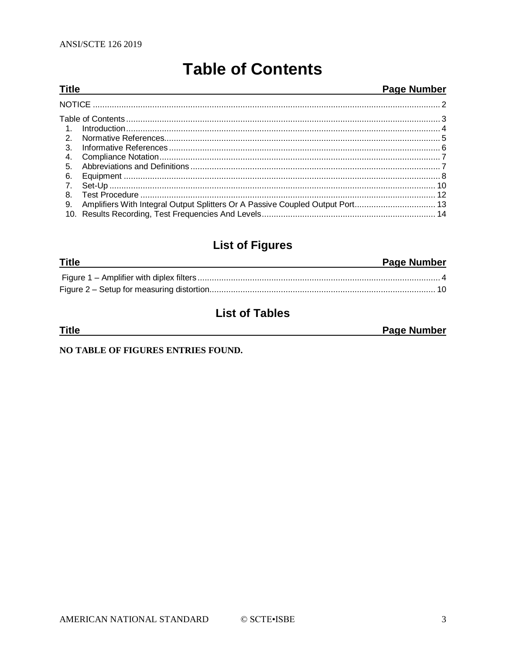<span id="page-2-0"></span>**Title** 

# **Table of Contents**

## Page Number

| $\mathcal{P}$  |  |
|----------------|--|
| $\mathcal{S}$  |  |
| 4.             |  |
| 5.             |  |
| 6.             |  |
| 7 <sub>1</sub> |  |
| 8.             |  |
| 9.             |  |
|                |  |

## **List of Figures**

| <b>Title</b> | <b>Page Number</b> |
|--------------|--------------------|
|              |                    |
|              |                    |

## **List of Tables**

**Title** 

**Page Number** 

NO TABLE OF FIGURES ENTRIES FOUND.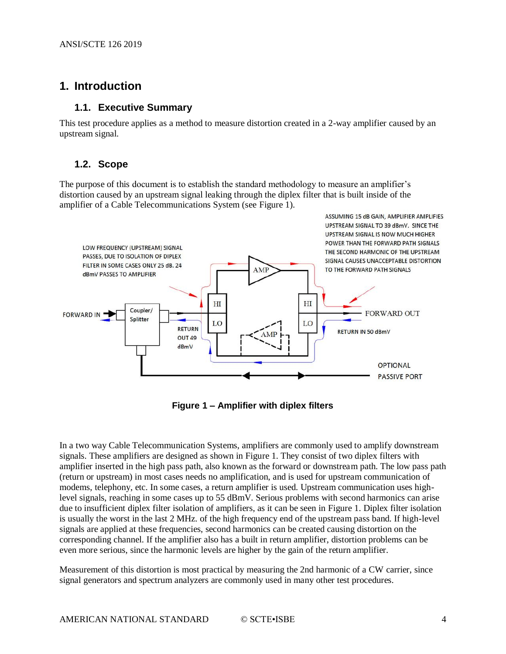## <span id="page-3-0"></span>**1. Introduction**

#### **1.1. Executive Summary**

This test procedure applies as a method to measure distortion created in a 2-way amplifier caused by an upstream signal.

#### **1.2. Scope**

The purpose of this document is to establish the standard methodology to measure an amplifier's distortion caused by an upstream signal leaking through the diplex filter that is built inside of the amplifier of a Cable Telecommunications System (see [Figure 1\)](#page-3-2).



<span id="page-3-1"></span>**Figure 1 – Amplifier with diplex filters**

<span id="page-3-2"></span>In a two way Cable Telecommunication Systems, amplifiers are commonly used to amplify downstream signals. These amplifiers are designed as shown in [Figure 1.](#page-3-2) They consist of two diplex filters with amplifier inserted in the high pass path, also known as the forward or downstream path. The low pass path (return or upstream) in most cases needs no amplification, and is used for upstream communication of modems, telephony, etc. In some cases, a return amplifier is used. Upstream communication uses highlevel signals, reaching in some cases up to 55 dBmV. Serious problems with second harmonics can arise due to insufficient diplex filter isolation of amplifiers, as it can be seen in [Figure 1.](#page-3-2) Diplex filter isolation is usually the worst in the last 2 MHz. of the high frequency end of the upstream pass band. If high-level signals are applied at these frequencies, second harmonics can be created causing distortion on the corresponding channel. If the amplifier also has a built in return amplifier, distortion problems can be even more serious, since the harmonic levels are higher by the gain of the return amplifier.

Measurement of this distortion is most practical by measuring the 2nd harmonic of a CW carrier, since signal generators and spectrum analyzers are commonly used in many other test procedures.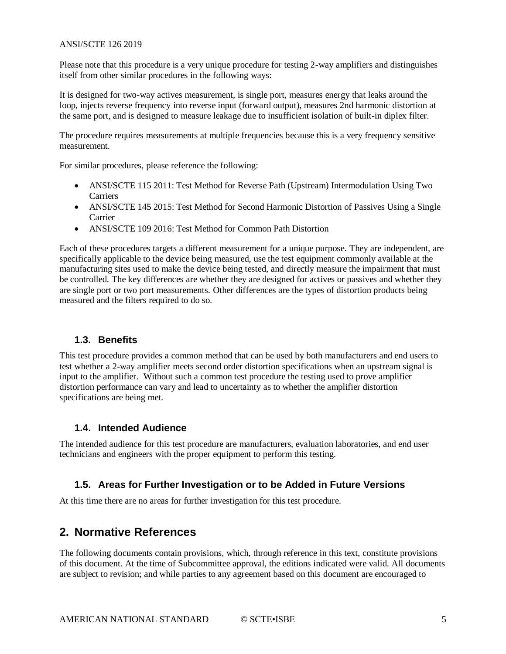Please note that this procedure is a very unique procedure for testing 2-way amplifiers and distinguishes itself from other similar procedures in the following ways:

It is designed for two-way actives measurement, is single port, measures energy that leaks around the loop, injects reverse frequency into reverse input (forward output), measures 2nd harmonic distortion at the same port, and is designed to measure leakage due to insufficient isolation of built-in diplex filter.

The procedure requires measurements at multiple frequencies because this is a very frequency sensitive measurement.

For similar procedures, please reference the following:

- ANSI/SCTE 115 2011: Test Method for Reverse Path (Upstream) Intermodulation Using Two **Carriers**
- ANSI/SCTE 145 2015: Test Method for Second Harmonic Distortion of Passives Using a Single Carrier
- ANSI/SCTE 109 2016: Test Method for Common Path Distortion

Each of these procedures targets a different measurement for a unique purpose. They are independent, are specifically applicable to the device being measured, use the test equipment commonly available at the manufacturing sites used to make the device being tested, and directly measure the impairment that must be controlled. The key differences are whether they are designed for actives or passives and whether they are single port or two port measurements. Other differences are the types of distortion products being measured and the filters required to do so.

#### **1.3. Benefits**

This test procedure provides a common method that can be used by both manufacturers and end users to test whether a 2-way amplifier meets second order distortion specifications when an upstream signal is input to the amplifier. Without such a common test procedure the testing used to prove amplifier distortion performance can vary and lead to uncertainty as to whether the amplifier distortion specifications are being met.

#### **1.4. Intended Audience**

The intended audience for this test procedure are manufacturers, evaluation laboratories, and end user technicians and engineers with the proper equipment to perform this testing.

#### **1.5. Areas for Further Investigation or to be Added in Future Versions**

At this time there are no areas for further investigation for this test procedure.

## <span id="page-4-0"></span>**2. Normative References**

The following documents contain provisions, which, through reference in this text, constitute provisions of this document. At the time of Subcommittee approval, the editions indicated were valid. All documents are subject to revision; and while parties to any agreement based on this document are encouraged to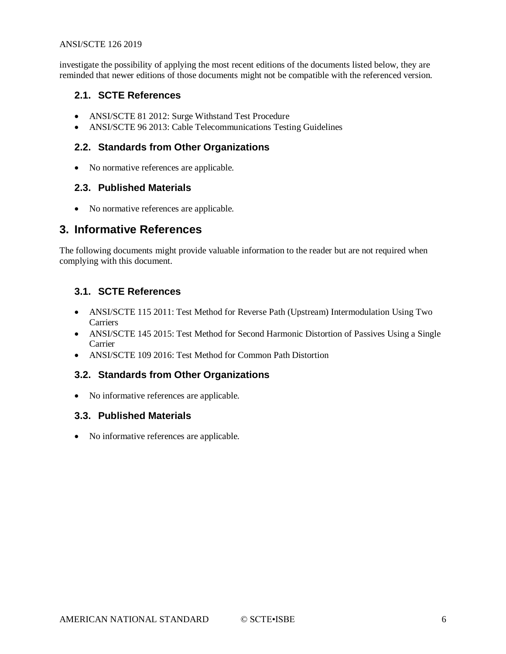investigate the possibility of applying the most recent editions of the documents listed below, they are reminded that newer editions of those documents might not be compatible with the referenced version.

### **2.1. SCTE References**

- ANSI/SCTE 81 2012: Surge Withstand Test Procedure
- ANSI/SCTE 96 2013: Cable Telecommunications Testing Guidelines

### **2.2. Standards from Other Organizations**

• No normative references are applicable.

#### **2.3. Published Materials**

• No normative references are applicable.

## <span id="page-5-0"></span>**3. Informative References**

The following documents might provide valuable information to the reader but are not required when complying with this document.

## **3.1. SCTE References**

- ANSI/SCTE 115 2011: Test Method for Reverse Path (Upstream) Intermodulation Using Two **Carriers**
- ANSI/SCTE 145 2015: Test Method for Second Harmonic Distortion of Passives Using a Single Carrier
- ANSI/SCTE 109 2016: Test Method for Common Path Distortion

## **3.2. Standards from Other Organizations**

• No informative references are applicable.

#### **3.3. Published Materials**

• No informative references are applicable.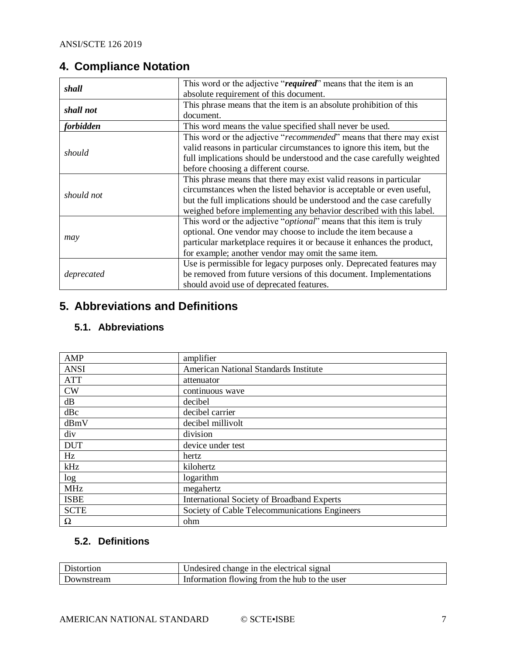## <span id="page-6-0"></span>**4. Compliance Notation**

| shall      | This word or the adjective "required" means that the item is an                                                                                                                                                                                                                            |  |  |  |
|------------|--------------------------------------------------------------------------------------------------------------------------------------------------------------------------------------------------------------------------------------------------------------------------------------------|--|--|--|
|            | absolute requirement of this document.                                                                                                                                                                                                                                                     |  |  |  |
| shall not  | This phrase means that the item is an absolute prohibition of this                                                                                                                                                                                                                         |  |  |  |
|            | document.                                                                                                                                                                                                                                                                                  |  |  |  |
| forbidden  | This word means the value specified shall never be used.                                                                                                                                                                                                                                   |  |  |  |
| should     | This word or the adjective "recommended" means that there may exist<br>valid reasons in particular circumstances to ignore this item, but the<br>full implications should be understood and the case carefully weighted<br>before choosing a different course.                             |  |  |  |
| should not | This phrase means that there may exist valid reasons in particular<br>circumstances when the listed behavior is acceptable or even useful,<br>but the full implications should be understood and the case carefully<br>weighed before implementing any behavior described with this label. |  |  |  |
| may        | This word or the adjective " <i>optional</i> " means that this item is truly<br>optional. One vendor may choose to include the item because a<br>particular marketplace requires it or because it enhances the product,<br>for example; another vendor may omit the same item.             |  |  |  |
| deprecated | Use is permissible for legacy purposes only. Deprecated features may<br>be removed from future versions of this document. Implementations<br>should avoid use of deprecated features.                                                                                                      |  |  |  |

## <span id="page-6-1"></span>**5. Abbreviations and Definitions**

## **5.1. Abbreviations**

| AMP         | amplifier                                         |
|-------------|---------------------------------------------------|
| <b>ANSI</b> | <b>American National Standards Institute</b>      |
| <b>ATT</b>  | attenuator                                        |
| <b>CW</b>   | continuous wave                                   |
| dB          | decibel                                           |
| dBc         | decibel carrier                                   |
| dBmV        | decibel millivolt                                 |
| div         | division                                          |
| <b>DUT</b>  | device under test                                 |
| Hz          | hertz                                             |
| kHz         | kilohertz                                         |
| log         | logarithm                                         |
| <b>MHz</b>  | megahertz                                         |
| <b>ISBE</b> | <b>International Society of Broadband Experts</b> |
| <b>SCTE</b> | Society of Cable Telecommunications Engineers     |
| Ω           | ohm                                               |

## **5.2. Definitions**

| <b>Distortion</b> | I Undesired change in the electrical signal  |
|-------------------|----------------------------------------------|
| Downstream        | Information flowing from the hub to the user |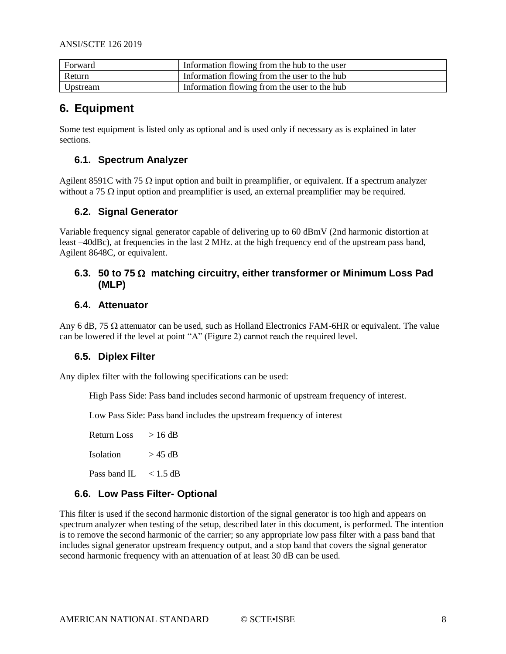| Forward  | Information flowing from the hub to the user |
|----------|----------------------------------------------|
| Return   | Information flowing from the user to the hub |
| Upstream | Information flowing from the user to the hub |

## <span id="page-7-0"></span>**6. Equipment**

Some test equipment is listed only as optional and is used only if necessary as is explained in later sections.

## **6.1. Spectrum Analyzer**

Agilent 8591C with 75  $\Omega$  input option and built in preamplifier, or equivalent. If a spectrum analyzer without a 75  $\Omega$  input option and preamplifier is used, an external preamplifier may be required.

## **6.2. Signal Generator**

Variable frequency signal generator capable of delivering up to 60 dBmV (2nd harmonic distortion at least –40dBc), at frequencies in the last 2 MHz. at the high frequency end of the upstream pass band, Agilent 8648C, or equivalent.

#### **6.3. 50 to 75 matching circuitry, either transformer or Minimum Loss Pad (MLP)**

## **6.4. Attenuator**

Any 6 dB, 75  $\Omega$  attenuator can be used, such as Holland Electronics FAM-6HR or equivalent. The value can be lowered if the level at point "A" (Figure 2) cannot reach the required level.

## **6.5. Diplex Filter**

Any diplex filter with the following specifications can be used:

High Pass Side: Pass band includes second harmonic of upstream frequency of interest.

Low Pass Side: Pass band includes the upstream frequency of interest

Return Loss  $> 16$  dB

Isolation  $> 45$  dB

Pass band IL  $\lt$  1.5 dB

## **6.6. Low Pass Filter- Optional**

This filter is used if the second harmonic distortion of the signal generator is too high and appears on spectrum analyzer when testing of the setup, described later in this document, is performed. The intention is to remove the second harmonic of the carrier; so any appropriate low pass filter with a pass band that includes signal generator upstream frequency output, and a stop band that covers the signal generator second harmonic frequency with an attenuation of at least 30 dB can be used.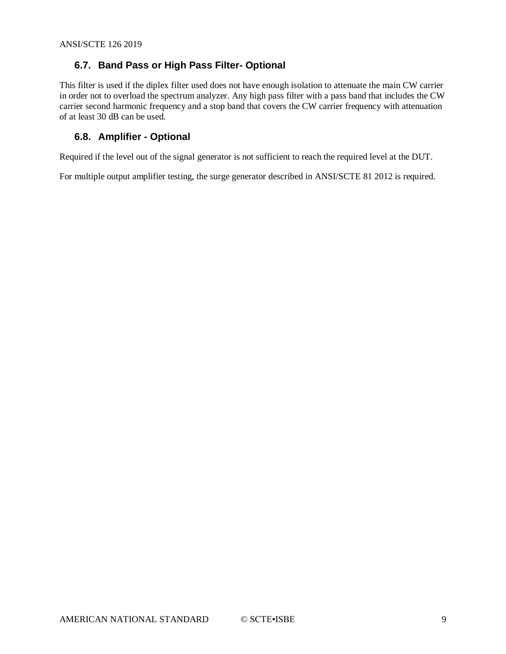## **6.7. Band Pass or High Pass Filter- Optional**

This filter is used if the diplex filter used does not have enough isolation to attenuate the main CW carrier in order not to overload the spectrum analyzer. Any high pass filter with a pass band that includes the CW carrier second harmonic frequency and a stop band that covers the CW carrier frequency with attenuation of at least 30 dB can be used.

## **6.8. Amplifier - Optional**

Required if the level out of the signal generator is not sufficient to reach the required level at the DUT.

For multiple output amplifier testing, the surge generator described in ANSI/SCTE 81 2012 is required.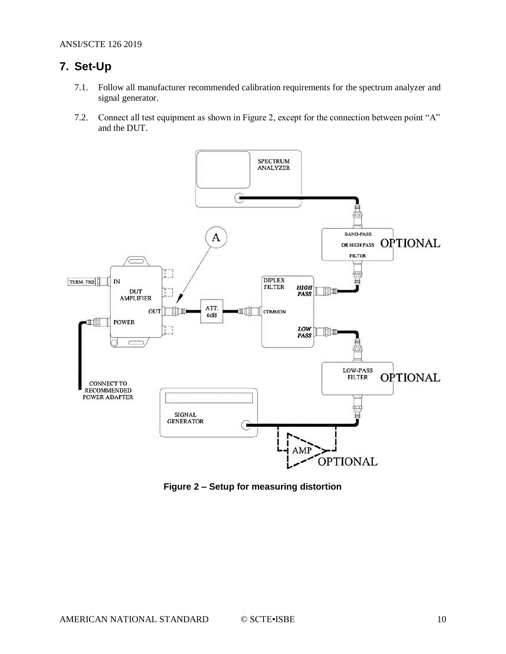## <span id="page-9-0"></span>**7. Set-Up**

- 7.1. Follow all manufacturer recommended calibration requirements for the spectrum analyzer and signal generator.
- 7.2. Connect all test equipment as shown in Figure 2, except for the connection between point "A" and the DUT.



<span id="page-9-1"></span>**Figure 2 – Setup for measuring distortion**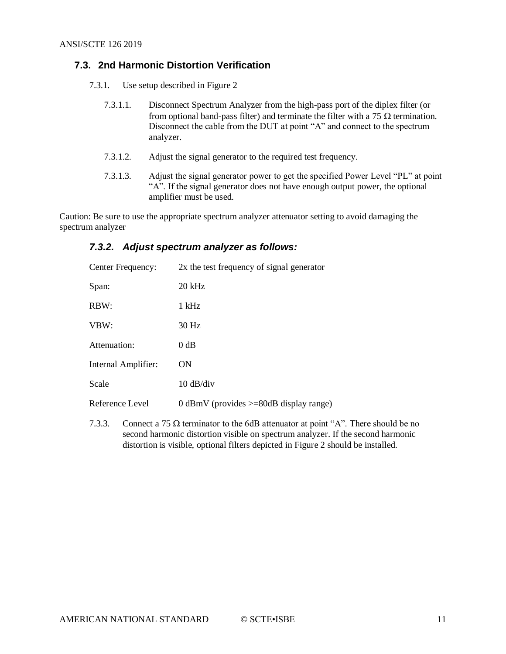## **7.3. 2nd Harmonic Distortion Verification**

- 7.3.1. Use setup described in Figure 2
	- 7.3.1.1. Disconnect Spectrum Analyzer from the high-pass port of the diplex filter (or from optional band-pass filter) and terminate the filter with a 75  $\Omega$  termination. Disconnect the cable from the DUT at point "A" and connect to the spectrum analyzer.
	- 7.3.1.2. Adjust the signal generator to the required test frequency.
	- 7.3.1.3. Adjust the signal generator power to get the specified Power Level "PL" at point "A". If the signal generator does not have enough output power, the optional amplifier must be used.

Caution: Be sure to use the appropriate spectrum analyzer attenuator setting to avoid damaging the spectrum analyzer

#### *7.3.2. Adjust spectrum analyzer as follows:*

| Center Frequency:   | 2x the test frequency of signal generator |  |  |  |
|---------------------|-------------------------------------------|--|--|--|
| Span:               | $20$ kHz                                  |  |  |  |
| RBW:                | 1 kHz                                     |  |  |  |
| VBW:                | 30 Hz                                     |  |  |  |
| Attenuation:        | 0 dB                                      |  |  |  |
| Internal Amplifier: | ON                                        |  |  |  |
| Scale               | $10 \text{ dB}/\text{div}$                |  |  |  |
| Reference Level     | 0 dBmV (provides $>=$ 80dB display range) |  |  |  |

7.3.3. Connect a 75  $\Omega$  terminator to the 6dB attenuator at point "A". There should be no second harmonic distortion visible on spectrum analyzer. If the second harmonic distortion is visible, optional filters depicted in Figure 2 should be installed.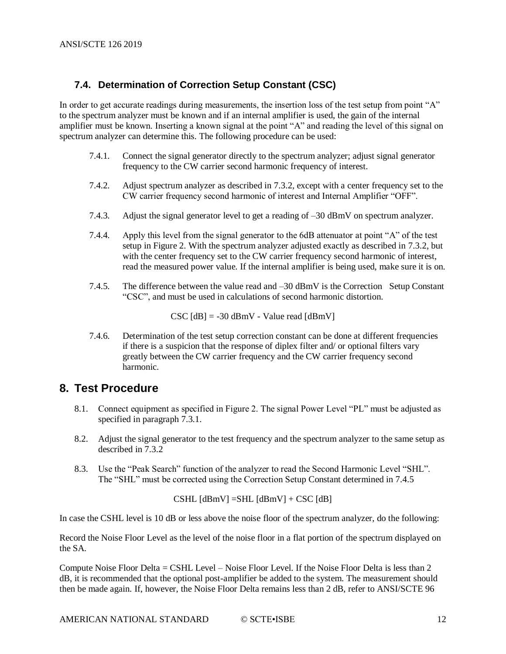## **7.4. Determination of Correction Setup Constant (CSC)**

In order to get accurate readings during measurements, the insertion loss of the test setup from point "A" to the spectrum analyzer must be known and if an internal amplifier is used, the gain of the internal amplifier must be known. Inserting a known signal at the point "A" and reading the level of this signal on spectrum analyzer can determine this. The following procedure can be used:

- 7.4.1. Connect the signal generator directly to the spectrum analyzer; adjust signal generator frequency to the CW carrier second harmonic frequency of interest.
- 7.4.2. Adjust spectrum analyzer as described in 7.3.2, except with a center frequency set to the CW carrier frequency second harmonic of interest and Internal Amplifier "OFF".
- 7.4.3. Adjust the signal generator level to get a reading of –30 dBmV on spectrum analyzer.
- 7.4.4. Apply this level from the signal generator to the 6dB attenuator at point "A" of the test setup in Figure 2. With the spectrum analyzer adjusted exactly as described in 7.3.2, but with the center frequency set to the CW carrier frequency second harmonic of interest, read the measured power value. If the internal amplifier is being used, make sure it is on.
- 7.4.5. The difference between the value read and –30 dBmV is the Correction Setup Constant "CSC", and must be used in calculations of second harmonic distortion.

 $CSC$   $[dB] = -30$   $dBmV$  - Value read  $[dBmV]$ 

7.4.6. Determination of the test setup correction constant can be done at different frequencies if there is a suspicion that the response of diplex filter and/ or optional filters vary greatly between the CW carrier frequency and the CW carrier frequency second harmonic.

## <span id="page-11-0"></span>**8. Test Procedure**

- 8.1. Connect equipment as specified in Figure 2. The signal Power Level "PL" must be adjusted as specified in paragraph 7.3.1.
- 8.2. Adjust the signal generator to the test frequency and the spectrum analyzer to the same setup as described in 7.3.2.
- 8.3. Use the "Peak Search" function of the analyzer to read the Second Harmonic Level "SHL". The "SHL" must be corrected using the Correction Setup Constant determined in 7.4.5

$$
CSHL [dBmV] = SHL [dBmV] + CSC [dB]
$$

In case the CSHL level is 10 dB or less above the noise floor of the spectrum analyzer, do the following:

Record the Noise Floor Level as the level of the noise floor in a flat portion of the spectrum displayed on the SA.

Compute Noise Floor Delta = CSHL Level – Noise Floor Level. If the Noise Floor Delta is less than 2 dB, it is recommended that the optional post-amplifier be added to the system. The measurement should then be made again. If, however, the Noise Floor Delta remains less than 2 dB, refer to ANSI/SCTE 96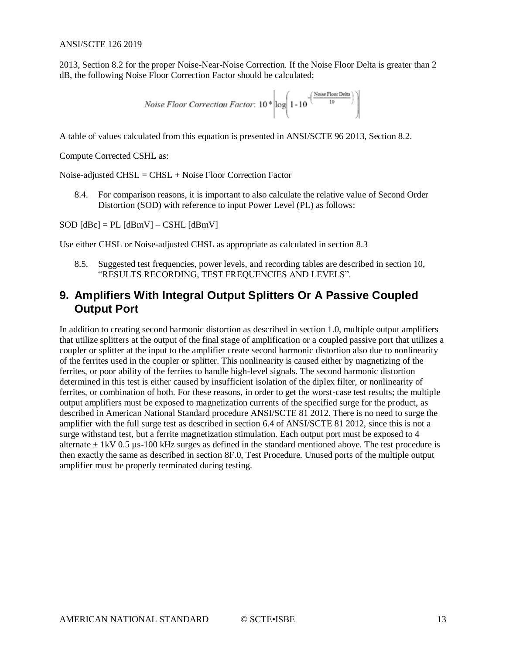2013, Section 8.2 for the proper Noise-Near-Noise Correction. If the Noise Floor Delta is greater than 2 dB, the following Noise Floor Correction Factor should be calculated:

$$
Noise Floor Correction Factor: 10 * \left| \log \left( 1 - 10^{-\left( \frac{Noise Floor Deta}{10} \right)} \right) \right|
$$

A table of values calculated from this equation is presented in ANSI/SCTE 96 2013, Section 8.2.

Compute Corrected CSHL as:

Noise-adjusted CHSL = CHSL + Noise Floor Correction Factor

8.4. For comparison reasons, it is important to also calculate the relative value of Second Order Distortion (SOD) with reference to input Power Level (PL) as follows:

 $SOD$   $[dBc] = PL$   $[dBmV] - CSHL$   $[dBmV]$ 

Use either CHSL or Noise-adjusted CHSL as appropriate as calculated in section 8.3

8.5. Suggested test frequencies, power levels, and recording tables are described in section 10, "RESULTS RECORDING, TEST FREQUENCIES AND LEVELS".

## <span id="page-12-0"></span>**9. Amplifiers With Integral Output Splitters Or A Passive Coupled Output Port**

In addition to creating second harmonic distortion as described in section 1.0, multiple output amplifiers that utilize splitters at the output of the final stage of amplification or a coupled passive port that utilizes a coupler or splitter at the input to the amplifier create second harmonic distortion also due to nonlinearity of the ferrites used in the coupler or splitter. This nonlinearity is caused either by magnetizing of the ferrites, or poor ability of the ferrites to handle high-level signals. The second harmonic distortion determined in this test is either caused by insufficient isolation of the diplex filter, or nonlinearity of ferrites, or combination of both. For these reasons, in order to get the worst-case test results; the multiple output amplifiers must be exposed to magnetization currents of the specified surge for the product, as described in American National Standard procedure ANSI/SCTE 81 2012. There is no need to surge the amplifier with the full surge test as described in section 6.4 of ANSI/SCTE 81 2012, since this is not a surge withstand test, but a ferrite magnetization stimulation. Each output port must be exposed to 4 alternate  $\pm$  1kV 0.5 µs-100 kHz surges as defined in the standard mentioned above. The test procedure is then exactly the same as described in section 8F.0, Test Procedure. Unused ports of the multiple output amplifier must be properly terminated during testing.